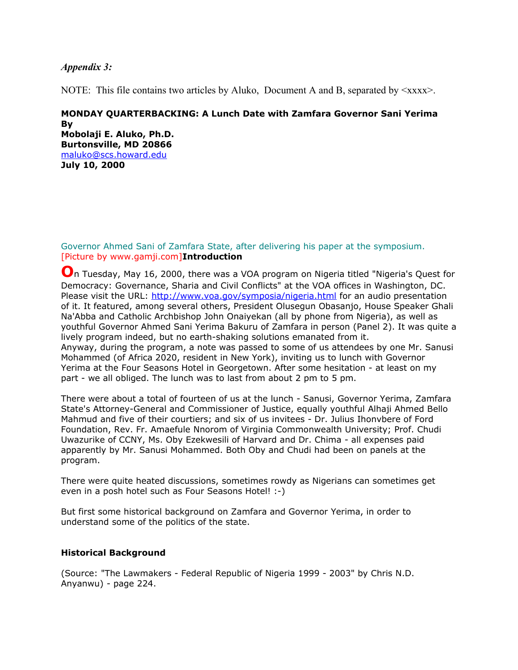# *Appendix 3:*

NOTE: This file contains two articles by Aluko, Document A and B, separated by  $\langle xxx \rangle$ .

# **MONDAY QUARTERBACKING: A Lunch Date with Zamfara Governor Sani Yerima By Mobolaji E. Aluko, Ph.D. Burtonsville, MD 20866**

[maluko@scs.howard.edu](mailto:maluko@scs.howard.edu) **July 10, 2000**

Governor Ahmed Sani of Zamfara State, after delivering his paper at the symposium. [Picture by www.gamji.com]**Introduction**

**O**n Tuesday, May 16, 2000, there was a VOA program on Nigeria titled "Nigeria's Quest for Democracy: Governance, Sharia and Civil Conflicts" at the VOA offices in Washington, DC. Please visit the URL:<http://www.voa.gov/symposia/nigeria.html>for an audio presentation of it. It featured, among several others, President Olusegun Obasanjo, House Speaker Ghali Na'Abba and Catholic Archbishop John Onaiyekan (all by phone from Nigeria), as well as youthful Governor Ahmed Sani Yerima Bakuru of Zamfara in person (Panel 2). It was quite a lively program indeed, but no earth-shaking solutions emanated from it. Anyway, during the program, a note was passed to some of us attendees by one Mr. Sanusi Mohammed (of Africa 2020, resident in New York), inviting us to lunch with Governor Yerima at the Four Seasons Hotel in Georgetown. After some hesitation - at least on my part - we all obliged. The lunch was to last from about 2 pm to 5 pm.

There were about a total of fourteen of us at the lunch - Sanusi, Governor Yerima, Zamfara State's Attorney-General and Commissioner of Justice, equally youthful Alhaji Ahmed Bello Mahmud and five of their courtiers; and six of us invitees - Dr. Julius Ihonvbere of Ford Foundation, Rev. Fr. Amaefule Nnorom of Virginia Commonwealth University; Prof. Chudi Uwazurike of CCNY, Ms. Oby Ezekwesili of Harvard and Dr. Chima - all expenses paid apparently by Mr. Sanusi Mohammed. Both Oby and Chudi had been on panels at the program.

There were quite heated discussions, sometimes rowdy as Nigerians can sometimes get even in a posh hotel such as Four Seasons Hotel! :-)

But first some historical background on Zamfara and Governor Yerima, in order to understand some of the politics of the state.

# **Historical Background**

(Source: "The Lawmakers - Federal Republic of Nigeria 1999 - 2003" by Chris N.D. Anyanwu) - page 224.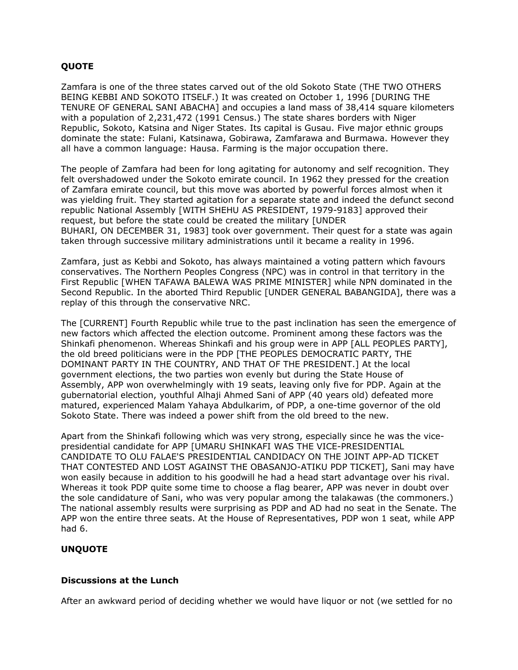# **QUOTE**

Zamfara is one of the three states carved out of the old Sokoto State (THE TWO OTHERS BEING KEBBI AND SOKOTO ITSELF.) It was created on October 1, 1996 [DURING THE TENURE OF GENERAL SANI ABACHA] and occupies a land mass of 38,414 square kilometers with a population of 2,231,472 (1991 Census.) The state shares borders with Niger Republic, Sokoto, Katsina and Niger States. Its capital is Gusau. Five major ethnic groups dominate the state: Fulani, Katsinawa, Gobirawa, Zamfarawa and Burmawa. However they all have a common language: Hausa. Farming is the major occupation there.

The people of Zamfara had been for long agitating for autonomy and self recognition. They felt overshadowed under the Sokoto emirate council. In 1962 they pressed for the creation of Zamfara emirate council, but this move was aborted by powerful forces almost when it was yielding fruit. They started agitation for a separate state and indeed the defunct second republic National Assembly [WITH SHEHU AS PRESIDENT, 1979-9183] approved their request, but before the state could be created the military [UNDER BUHARI, ON DECEMBER 31, 1983] took over government. Their quest for a state was again taken through successive military administrations until it became a reality in 1996.

Zamfara, just as Kebbi and Sokoto, has always maintained a voting pattern which favours conservatives. The Northern Peoples Congress (NPC) was in control in that territory in the First Republic [WHEN TAFAWA BALEWA WAS PRIME MINISTER] while NPN dominated in the Second Republic. In the aborted Third Republic [UNDER GENERAL BABANGIDA], there was a replay of this through the conservative NRC.

The [CURRENT] Fourth Republic while true to the past inclination has seen the emergence of new factors which affected the election outcome. Prominent among these factors was the Shinkafi phenomenon. Whereas Shinkafi and his group were in APP [ALL PEOPLES PARTY], the old breed politicians were in the PDP [THE PEOPLES DEMOCRATIC PARTY, THE DOMINANT PARTY IN THE COUNTRY, AND THAT OF THE PRESIDENT.] At the local government elections, the two parties won evenly but during the State House of Assembly, APP won overwhelmingly with 19 seats, leaving only five for PDP. Again at the gubernatorial election, youthful Alhaji Ahmed Sani of APP (40 years old) defeated more matured, experienced Malam Yahaya Abdulkarim, of PDP, a one-time governor of the old Sokoto State. There was indeed a power shift from the old breed to the new.

Apart from the Shinkafi following which was very strong, especially since he was the vicepresidential candidate for APP [UMARU SHINKAFI WAS THE VICE-PRESIDENTIAL CANDIDATE TO OLU FALAE'S PRESIDENTIAL CANDIDACY ON THE JOINT APP-AD TICKET THAT CONTESTED AND LOST AGAINST THE OBASANJO-ATIKU PDP TICKET], Sani may have won easily because in addition to his goodwill he had a head start advantage over his rival. Whereas it took PDP quite some time to choose a flag bearer, APP was never in doubt over the sole candidature of Sani, who was very popular among the talakawas (the commoners.) The national assembly results were surprising as PDP and AD had no seat in the Senate. The APP won the entire three seats. At the House of Representatives, PDP won 1 seat, while APP had 6.

# **UNQUOTE**

# **Discussions at the Lunch**

After an awkward period of deciding whether we would have liquor or not (we settled for no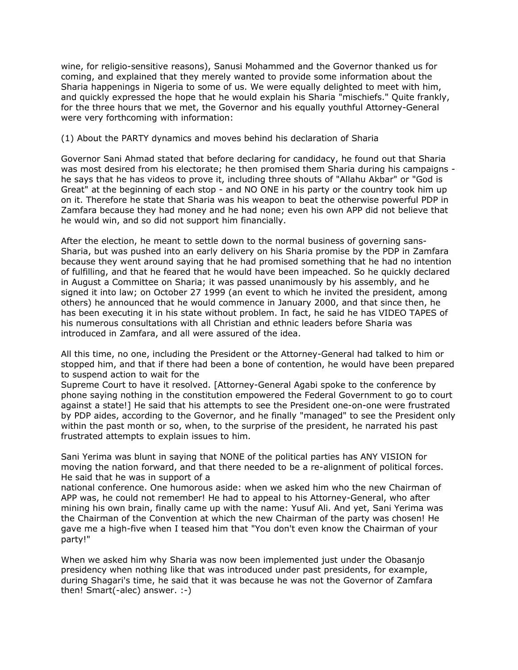wine, for religio-sensitive reasons), Sanusi Mohammed and the Governor thanked us for coming, and explained that they merely wanted to provide some information about the Sharia happenings in Nigeria to some of us. We were equally delighted to meet with him, and quickly expressed the hope that he would explain his Sharia "mischiefs." Quite frankly, for the three hours that we met, the Governor and his equally youthful Attorney-General were very forthcoming with information:

#### (1) About the PARTY dynamics and moves behind his declaration of Sharia

Governor Sani Ahmad stated that before declaring for candidacy, he found out that Sharia was most desired from his electorate; he then promised them Sharia during his campaigns he says that he has videos to prove it, including three shouts of "Allahu Akbar" or "God is Great" at the beginning of each stop - and NO ONE in his party or the country took him up on it. Therefore he state that Sharia was his weapon to beat the otherwise powerful PDP in Zamfara because they had money and he had none; even his own APP did not believe that he would win, and so did not support him financially.

After the election, he meant to settle down to the normal business of governing sans-Sharia, but was pushed into an early delivery on his Sharia promise by the PDP in Zamfara because they went around saying that he had promised something that he had no intention of fulfilling, and that he feared that he would have been impeached. So he quickly declared in August a Committee on Sharia; it was passed unanimously by his assembly, and he signed it into law; on October 27 1999 (an event to which he invited the president, among others) he announced that he would commence in January 2000, and that since then, he has been executing it in his state without problem. In fact, he said he has VIDEO TAPES of his numerous consultations with all Christian and ethnic leaders before Sharia was introduced in Zamfara, and all were assured of the idea.

All this time, no one, including the President or the Attorney-General had talked to him or stopped him, and that if there had been a bone of contention, he would have been prepared to suspend action to wait for the

Supreme Court to have it resolved. [Attorney-General Agabi spoke to the conference by phone saying nothing in the constitution empowered the Federal Government to go to court against a state!] He said that his attempts to see the President one-on-one were frustrated by PDP aides, according to the Governor, and he finally "managed" to see the President only within the past month or so, when, to the surprise of the president, he narrated his past frustrated attempts to explain issues to him.

Sani Yerima was blunt in saying that NONE of the political parties has ANY VISION for moving the nation forward, and that there needed to be a re-alignment of political forces. He said that he was in support of a

national conference. One humorous aside: when we asked him who the new Chairman of APP was, he could not remember! He had to appeal to his Attorney-General, who after mining his own brain, finally came up with the name: Yusuf Ali. And yet, Sani Yerima was the Chairman of the Convention at which the new Chairman of the party was chosen! He gave me a high-five when I teased him that "You don't even know the Chairman of your party!"

When we asked him why Sharia was now been implemented just under the Obasanjo presidency when nothing like that was introduced under past presidents, for example, during Shagari's time, he said that it was because he was not the Governor of Zamfara then! Smart(-alec) answer. :-)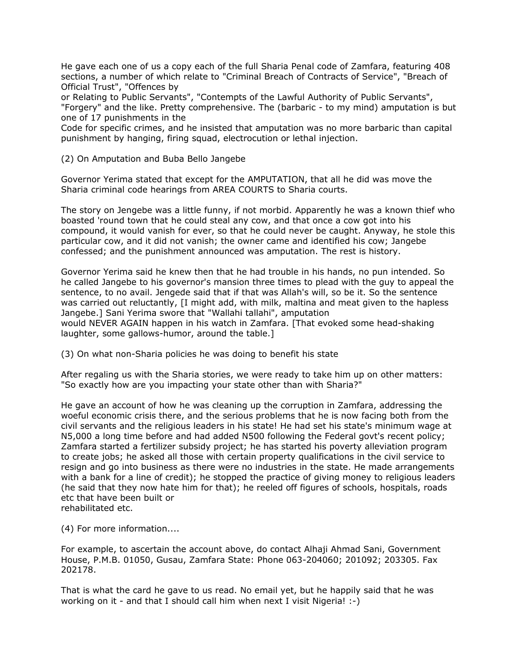He gave each one of us a copy each of the full Sharia Penal code of Zamfara, featuring 408 sections, a number of which relate to "Criminal Breach of Contracts of Service", "Breach of Official Trust", "Offences by

or Relating to Public Servants", "Contempts of the Lawful Authority of Public Servants", "Forgery" and the like. Pretty comprehensive. The (barbaric - to my mind) amputation is but one of 17 punishments in the

Code for specific crimes, and he insisted that amputation was no more barbaric than capital punishment by hanging, firing squad, electrocution or lethal injection.

(2) On Amputation and Buba Bello Jangebe

Governor Yerima stated that except for the AMPUTATION, that all he did was move the Sharia criminal code hearings from AREA COURTS to Sharia courts.

The story on Jengebe was a little funny, if not morbid. Apparently he was a known thief who boasted 'round town that he could steal any cow, and that once a cow got into his compound, it would vanish for ever, so that he could never be caught. Anyway, he stole this particular cow, and it did not vanish; the owner came and identified his cow; Jangebe confessed; and the punishment announced was amputation. The rest is history.

Governor Yerima said he knew then that he had trouble in his hands, no pun intended. So he called Jangebe to his governor's mansion three times to plead with the guy to appeal the sentence, to no avail. Jengede said that if that was Allah's will, so be it. So the sentence was carried out reluctantly, [I might add, with milk, maltina and meat given to the hapless Jangebe.] Sani Yerima swore that "Wallahi tallahi", amputation would NEVER AGAIN happen in his watch in Zamfara. [That evoked some head-shaking laughter, some gallows-humor, around the table.]

(3) On what non-Sharia policies he was doing to benefit his state

After regaling us with the Sharia stories, we were ready to take him up on other matters: "So exactly how are you impacting your state other than with Sharia?"

He gave an account of how he was cleaning up the corruption in Zamfara, addressing the woeful economic crisis there, and the serious problems that he is now facing both from the civil servants and the religious leaders in his state! He had set his state's minimum wage at N5,000 a long time before and had added N500 following the Federal govt's recent policy; Zamfara started a fertilizer subsidy project; he has started his poverty alleviation program to create jobs; he asked all those with certain property qualifications in the civil service to resign and go into business as there were no industries in the state. He made arrangements with a bank for a line of credit); he stopped the practice of giving money to religious leaders (he said that they now hate him for that); he reeled off figures of schools, hospitals, roads etc that have been built or rehabilitated etc.

(4) For more information....

For example, to ascertain the account above, do contact Alhaji Ahmad Sani, Government House, P.M.B. 01050, Gusau, Zamfara State: Phone 063-204060; 201092; 203305. Fax 202178.

That is what the card he gave to us read. No email yet, but he happily said that he was working on it - and that I should call him when next I visit Nigeria! :-)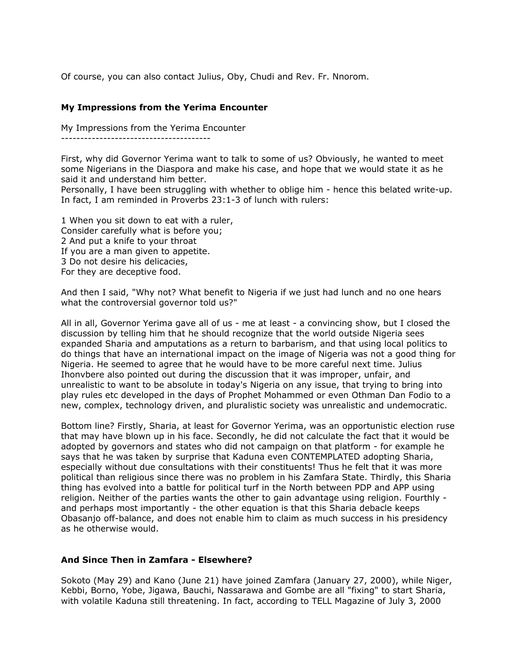Of course, you can also contact Julius, Oby, Chudi and Rev. Fr. Nnorom.

### **My Impressions from the Yerima Encounter**

My Impressions from the Yerima Encounter ---------------------------------------

First, why did Governor Yerima want to talk to some of us? Obviously, he wanted to meet some Nigerians in the Diaspora and make his case, and hope that we would state it as he said it and understand him better.

Personally, I have been struggling with whether to oblige him - hence this belated write-up. In fact, I am reminded in Proverbs 23:1-3 of lunch with rulers:

1 When you sit down to eat with a ruler, Consider carefully what is before you; 2 And put a knife to your throat If you are a man given to appetite. 3 Do not desire his delicacies, For they are deceptive food.

And then I said, "Why not? What benefit to Nigeria if we just had lunch and no one hears what the controversial governor told us?"

All in all, Governor Yerima gave all of us - me at least - a convincing show, but I closed the discussion by telling him that he should recognize that the world outside Nigeria sees expanded Sharia and amputations as a return to barbarism, and that using local politics to do things that have an international impact on the image of Nigeria was not a good thing for Nigeria. He seemed to agree that he would have to be more careful next time. Julius Ihonvbere also pointed out during the discussion that it was improper, unfair, and unrealistic to want to be absolute in today's Nigeria on any issue, that trying to bring into play rules etc developed in the days of Prophet Mohammed or even Othman Dan Fodio to a new, complex, technology driven, and pluralistic society was unrealistic and undemocratic.

Bottom line? Firstly, Sharia, at least for Governor Yerima, was an opportunistic election ruse that may have blown up in his face. Secondly, he did not calculate the fact that it would be adopted by governors and states who did not campaign on that platform - for example he says that he was taken by surprise that Kaduna even CONTEMPLATED adopting Sharia, especially without due consultations with their constituents! Thus he felt that it was more political than religious since there was no problem in his Zamfara State. Thirdly, this Sharia thing has evolved into a battle for political turf in the North between PDP and APP using religion. Neither of the parties wants the other to gain advantage using religion. Fourthly and perhaps most importantly - the other equation is that this Sharia debacle keeps Obasanjo off-balance, and does not enable him to claim as much success in his presidency as he otherwise would.

#### **And Since Then in Zamfara - Elsewhere?**

Sokoto (May 29) and Kano (June 21) have joined Zamfara (January 27, 2000), while Niger, Kebbi, Borno, Yobe, Jigawa, Bauchi, Nassarawa and Gombe are all "fixing" to start Sharia, with volatile Kaduna still threatening. In fact, according to TELL Magazine of July 3, 2000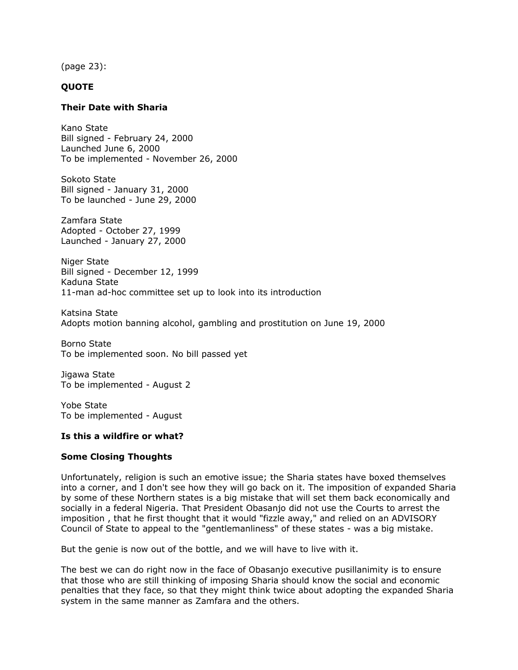(page 23):

# **QUOTE**

### **Their Date with Sharia**

Kano State Bill signed - February 24, 2000 Launched June 6, 2000 To be implemented - November 26, 2000

Sokoto State Bill signed - January 31, 2000 To be launched - June 29, 2000

Zamfara State Adopted - October 27, 1999 Launched - January 27, 2000

Niger State Bill signed - December 12, 1999 Kaduna State 11-man ad-hoc committee set up to look into its introduction

Katsina State Adopts motion banning alcohol, gambling and prostitution on June 19, 2000

Borno State To be implemented soon. No bill passed yet

Jigawa State To be implemented - August 2

Yobe State To be implemented - August

#### **Is this a wildfire or what?**

#### **Some Closing Thoughts**

Unfortunately, religion is such an emotive issue; the Sharia states have boxed themselves into a corner, and I don't see how they will go back on it. The imposition of expanded Sharia by some of these Northern states is a big mistake that will set them back economically and socially in a federal Nigeria. That President Obasanjo did not use the Courts to arrest the imposition , that he first thought that it would "fizzle away," and relied on an ADVISORY Council of State to appeal to the "gentlemanliness" of these states - was a big mistake.

But the genie is now out of the bottle, and we will have to live with it.

The best we can do right now in the face of Obasanjo executive pusillanimity is to ensure that those who are still thinking of imposing Sharia should know the social and economic penalties that they face, so that they might think twice about adopting the expanded Sharia system in the same manner as Zamfara and the others.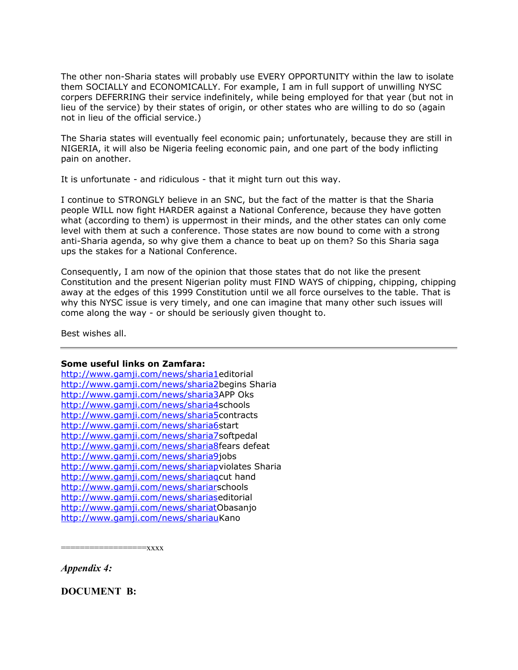The other non-Sharia states will probably use EVERY OPPORTUNITY within the law to isolate them SOCIALLY and ECONOMICALLY. For example, I am in full support of unwilling NYSC corpers DEFERRING their service indefinitely, while being employed for that year (but not in lieu of the service) by their states of origin, or other states who are willing to do so (again not in lieu of the official service.)

The Sharia states will eventually feel economic pain; unfortunately, because they are still in NIGERIA, it will also be Nigeria feeling economic pain, and one part of the body inflicting pain on another.

It is unfortunate - and ridiculous - that it might turn out this way.

I continue to STRONGLY believe in an SNC, but the fact of the matter is that the Sharia people WILL now fight HARDER against a National Conference, because they have gotten what (according to them) is uppermost in their minds, and the other states can only come level with them at such a conference. Those states are now bound to come with a strong anti-Sharia agenda, so why give them a chance to beat up on them? So this Sharia saga ups the stakes for a National Conference.

Consequently, I am now of the opinion that those states that do not like the present Constitution and the present Nigerian polity must FIND WAYS of chipping, chipping, chipping away at the edges of this 1999 Constitution until we all force ourselves to the table. That is why this NYSC issue is very timely, and one can imagine that many other such issues will come along the way - or should be seriously given thought to.

Best wishes all.

# **Some useful links on Zamfara:**

[http://www.gamji.com/news/sharia1e](http://www.africanews.org/west/nigeria/stories/19991027_feat31.html)ditorial [http://www.gamji.com/news/sharia2b](http://www.postexpresswired.com/postexpress.nsf/7c45df0e9873ec4885256436005d3eb0/fbf56a092186af70852568180062e8ac?OpenDocument)egins Sharia [http://www.gamji.com/news/sharia3A](http://www.postexpresswired.com/postexpress.nsf/7c45df0e9873ec4885256436005d3eb0/465994d794c51a7e8525684e002cdc81?OpenDocument)PP Oks [http://www.gamji.com/news/sharia4s](http://www.postexpresswired.com/postexpress.nsf/7c45df0e9873ec4885256436005d3eb0/76e629aca90193f38525684f003647ed?OpenDocument)chools [http://www.gamji.com/news/sharia5c](http://www.postexpresswired.com/postexpress.nsf/7c45df0e9873ec4885256436005d3eb0/0b7f61f1b2de551d8525686a0057e0ad?OpenDocument)ontracts [http://www.gamji.com/news/sharia6s](http://news.bbc.co.uk/hi/english/world/africa/newsid_620000/620058.stm)tart [http://www.gamji.com/news/sharia7s](http://www.africanews.org/west/nigeria/stories/20000313/20000313_feat12.html)oftpedal [http://www.gamji.com/news/sharia8f](http://www.ngrguardiannews.com/news2/nn784213.html)ears defeat [http://www.gamji.com/news/sharia9j](http://www.ngrguardiannews.com/news2/nn786326.html)obs [http://www.gamji.com/news/shariapv](http://www.ngrguardiannews.com/news2/nn789203.html)iolates Sharia [http://www.gamji.com/news/shariaqc](http://www.ngrguardiannews.com/news2/nn789607.html)ut hand [http://www.gamji.com/news/shariars](http://www.vanguardngr.com/wk107200/Nn204070.htm)chools [http://www.gamji.com/news/shariase](http://www.vanguardngr.com/wk107200/fs109070.htm)ditorial [http://www.gamji.com/news/shariatO](http://news6.thdo.bbc.co.uk/hi/english/world/africa/newsid_811000/811548.stm)basanjo [http://www.gamji.com/news/shariauK](http://news6.thdo.bbc.co.uk/hi/english/world/africa/newsid_800000/800058.stm)ano

==================xxxx

*Appendix 4:*

**DOCUMENT B:**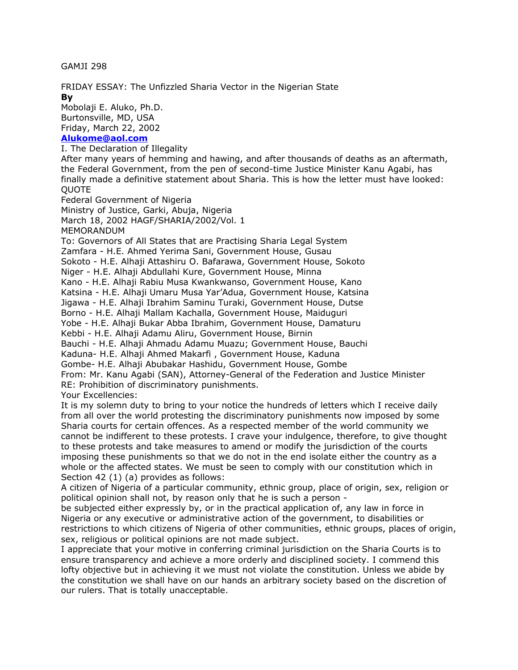GAMJI 298

FRIDAY ESSAY: The Unfizzled Sharia Vector in the Nigerian State **By**

Mobolaji E. Aluko, Ph.D. Burtonsville, MD, USA Friday, March 22, 2002

# **[Alukome@aol.com](mailto:Alukome@aol.com)**

I. The Declaration of Illegality After many years of hemming and hawing, and after thousands of deaths as an aftermath, the Federal Government, from the pen of second-time Justice Minister Kanu Agabi, has finally made a definitive statement about Sharia. This is how the letter must have looked: **OUOTE** 

Federal Government of Nigeria

Ministry of Justice, Garki, Abuja, Nigeria

March 18, 2002 HAGF/SHARIA/2002/Vol. 1

MEMORANDUM

To: Governors of All States that are Practising Sharia Legal System Zamfara - H.E. Ahmed Yerima Sani, Government House, Gusau

Sokoto - H.E. Alhaji Attashiru O. Bafarawa, Government House, Sokoto

Niger - H.E. Alhaji Abdullahi Kure, Government House, Minna

Kano - H.E. Alhaji Rabiu Musa Kwankwanso, Government House, Kano

Katsina - H.E. Alhaji Umaru Musa Yar'Adua, Government House, Katsina

Jigawa - H.E. Alhaji Ibrahim Saminu Turaki, Government House, Dutse

Borno - H.E. Alhaji Mallam Kachalla, Government House, Maiduguri

Yobe - H.E. Alhaji Bukar Abba Ibrahim, Government House, Damaturu

Kebbi - H.E. Alhaji Adamu Aliru, Government House, Birnin

Bauchi - H.E. Alhaji Ahmadu Adamu Muazu; Government House, Bauchi

Kaduna- H.E. Alhaji Ahmed Makarfi , Government House, Kaduna

Gombe- H.E. Alhaji Abubakar Hashidu, Government House, Gombe

From: Mr. Kanu Agabi (SAN), Attorney-General of the Federation and Justice Minister RE: Prohibition of discriminatory punishments.

Your Excellencies:

It is my solemn duty to bring to your notice the hundreds of letters which I receive daily from all over the world protesting the discriminatory punishments now imposed by some Sharia courts for certain offences. As a respected member of the world community we cannot be indifferent to these protests. I crave your indulgence, therefore, to give thought to these protests and take measures to amend or modify the jurisdiction of the courts imposing these punishments so that we do not in the end isolate either the country as a whole or the affected states. We must be seen to comply with our constitution which in Section 42 (1) (a) provides as follows:

A citizen of Nigeria of a particular community, ethnic group, place of origin, sex, religion or political opinion shall not, by reason only that he is such a person -

be subjected either expressly by, or in the practical application of, any law in force in Nigeria or any executive or administrative action of the government, to disabilities or restrictions to which citizens of Nigeria of other communities, ethnic groups, places of origin, sex, religious or political opinions are not made subject.

I appreciate that your motive in conferring criminal jurisdiction on the Sharia Courts is to ensure transparency and achieve a more orderly and disciplined society. I commend this lofty objective but in achieving it we must not violate the constitution. Unless we abide by the constitution we shall have on our hands an arbitrary society based on the discretion of our rulers. That is totally unacceptable.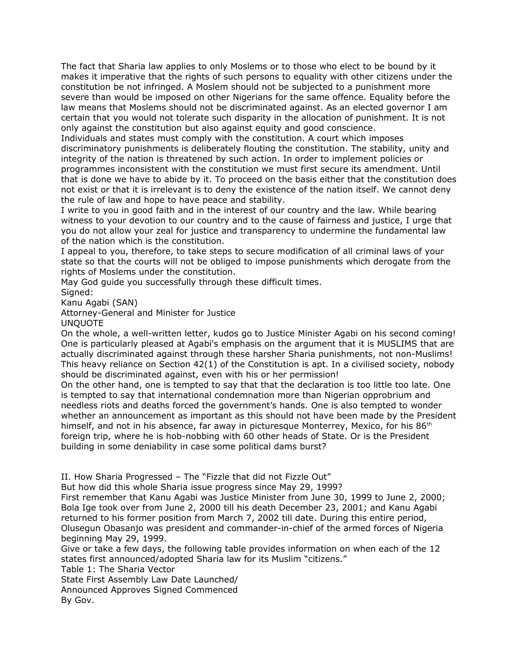The fact that Sharia law applies to only Moslems or to those who elect to be bound by it makes it imperative that the rights of such persons to equality with other citizens under the constitution be not infringed. A Moslem should not be subjected to a punishment more severe than would be imposed on other Nigerians for the same offence. Equality before the law means that Moslems should not be discriminated against. As an elected governor I am certain that you would not tolerate such disparity in the allocation of punishment. It is not only against the constitution but also against equity and good conscience.

Individuals and states must comply with the constitution. A court which imposes discriminatory punishments is deliberately flouting the constitution. The stability, unity and integrity of the nation is threatened by such action. In order to implement policies or programmes inconsistent with the constitution we must first secure its amendment. Until that is done we have to abide by it. To proceed on the basis either that the constitution does not exist or that it is irrelevant is to deny the existence of the nation itself. We cannot deny the rule of law and hope to have peace and stability.

I write to you in good faith and in the interest of our country and the law. While bearing witness to your devotion to our country and to the cause of fairness and justice, I urge that you do not allow your zeal for justice and transparency to undermine the fundamental law of the nation which is the constitution.

I appeal to you, therefore, to take steps to secure modification of all criminal laws of your state so that the courts will not be obliged to impose punishments which derogate from the rights of Moslems under the constitution.

May God guide you successfully through these difficult times. Signed:

Kanu Agabi (SAN)

Attorney-General and Minister for Justice UNQUOTE

On the whole, a well-written letter, kudos go to Justice Minister Agabi on his second coming! One is particularly pleased at Agabi's emphasis on the argument that it is MUSLIMS that are actually discriminated against through these harsher Sharia punishments, not non-Muslims! This heavy reliance on Section 42(1) of the Constitution is apt. In a civilised society, nobody should be discriminated against, even with his or her permission!

On the other hand, one is tempted to say that that the declaration is too little too late. One is tempted to say that international condemnation more than Nigerian opprobrium and needless riots and deaths forced the government's hands. One is also tempted to wonder whether an announcement as important as this should not have been made by the President himself, and not in his absence, far away in picturesque Monterrey, Mexico, for his  $86<sup>th</sup>$ foreign trip, where he is hob-nobbing with 60 other heads of State. Or is the President building in some deniability in case some political dams burst?

II. How Sharia Progressed – The "Fizzle that did not Fizzle Out"

But how did this whole Sharia issue progress since May 29, 1999?

First remember that Kanu Agabi was Justice Minister from June 30, 1999 to June 2, 2000; Bola Ige took over from June 2, 2000 till his death December 23, 2001; and Kanu Agabi returned to his former position from March 7, 2002 till date. During this entire period, Olusegun Obasanjo was president and commander-in-chief of the armed forces of Nigeria beginning May 29, 1999.

Give or take a few days, the following table provides information on when each of the 12 states first announced/adopted Sharia law for its Muslim "citizens."

Table 1: The Sharia Vector

State First Assembly Law Date Launched/

Announced Approves Signed Commenced

By Gov.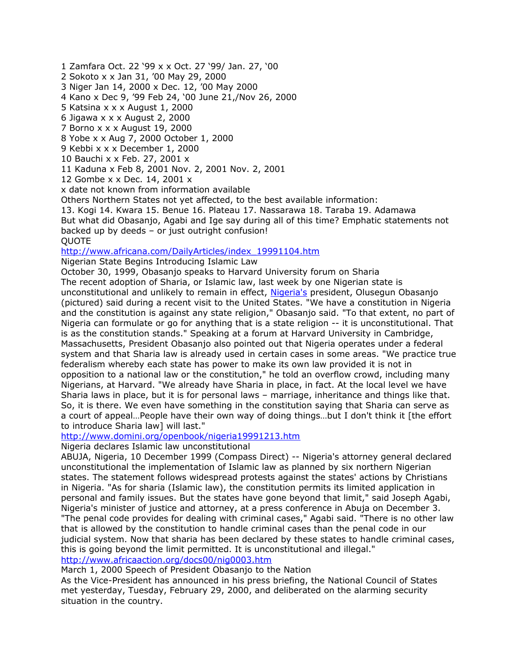1 Zamfara Oct. 22 '99 x x Oct. 27 '99/ Jan. 27, '00 2 Sokoto x x Jan 31, '00 May 29, 2000 3 Niger Jan 14, 2000 x Dec. 12, '00 May 2000 4 Kano x Dec 9, '99 Feb 24, '00 June 21,/Nov 26, 2000 5 Katsina x x x August 1, 2000 6 Jigawa x x x August 2, 2000 7 Borno x x x August 19, 2000 8 Yobe x x Aug 7, 2000 October 1, 2000 9 Kebbi x x x December 1, 2000 10 Bauchi x x Feb. 27, 2001 x 11 Kaduna x Feb 8, 2001 Nov. 2, 2001 Nov. 2, 2001

12 Gombe x x Dec. 14, 2001 x

x date not known from information available

Others Northern States not yet affected, to the best available information:

13. Kogi 14. Kwara 15. Benue 16. Plateau 17. Nassarawa 18. Taraba 19. Adamawa

But what did Obasanjo, Agabi and Ige say during all of this time? Emphatic statements not backed up by deeds – or just outright confusion!

**OUOTE** 

[http://www.africana.com/DailyArticles/index\\_19991104.htm](http://www.africana.com/DailyArticles/index_19991104.htm)

Nigerian State Begins Introducing Islamic Law

October 30, 1999, Obasanjo speaks to Harvard University forum on Sharia The recent adoption of Sharia, or Islamic law, last week by one Nigerian state is unconstitutional and unlikely to remain in effect, [Nigeria's](file:///Articles/tt_217.htm) president, Olusegun Obasanjo (pictured) said during a recent visit to the United States. "We have a constitution in Nigeria and the constitution is against any state religion," Obasanjo said. "To that extent, no part of Nigeria can formulate or go for anything that is a state religion -- it is unconstitutional. That is as the constitution stands." Speaking at a forum at Harvard University in Cambridge, Massachusetts, President Obasanjo also pointed out that Nigeria operates under a federal system and that Sharia law is already used in certain cases in some areas. "We practice true federalism whereby each state has power to make its own law provided it is not in opposition to a national law or the constitution," he told an overflow crowd, including many Nigerians, at Harvard. "We already have Sharia in place, in fact. At the local level we have Sharia laws in place, but it is for personal laws – marriage, inheritance and things like that. So, it is there. We even have something in the constitution saying that Sharia can serve as a court of appeal…People have their own way of doing things…but I don't think it [the effort to introduce Sharia law] will last."

<http://www.domini.org/openbook/nigeria19991213.htm>

Nigeria declares Islamic law unconstitutional

ABUJA, Nigeria, 10 December 1999 (Compass Direct) -- Nigeria's attorney general declared unconstitutional the implementation of Islamic law as planned by six northern Nigerian states. The statement follows widespread protests against the states' actions by Christians in Nigeria. "As for sharia (Islamic law), the constitution permits its limited application in personal and family issues. But the states have gone beyond that limit," said Joseph Agabi, Nigeria's minister of justice and attorney, at a press conference in Abuja on December 3. "The penal code provides for dealing with criminal cases," Agabi said. "There is no other law that is allowed by the constitution to handle criminal cases than the penal code in our judicial system. Now that sharia has been declared by these states to handle criminal cases, this is going beyond the limit permitted. It is unconstitutional and illegal." <http://www.africaaction.org/docs00/nig0003.htm>

March 1, 2000 Speech of President Obasanjo to the Nation

As the Vice-President has announced in his press briefing, the National Council of States met yesterday, Tuesday, February 29, 2000, and deliberated on the alarming security situation in the country.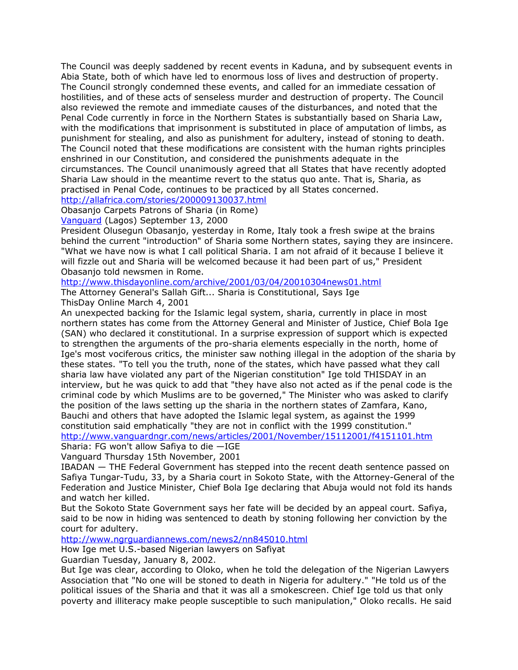The Council was deeply saddened by recent events in Kaduna, and by subsequent events in Abia State, both of which have led to enormous loss of lives and destruction of property. The Council strongly condemned these events, and called for an immediate cessation of hostilities, and of these acts of senseless murder and destruction of property. The Council also reviewed the remote and immediate causes of the disturbances, and noted that the Penal Code currently in force in the Northern States is substantially based on Sharia Law, with the modifications that imprisonment is substituted in place of amputation of limbs, as punishment for stealing, and also as punishment for adultery, instead of stoning to death. The Council noted that these modifications are consistent with the human rights principles enshrined in our Constitution, and considered the punishments adequate in the circumstances. The Council unanimously agreed that all States that have recently adopted Sharia Law should in the meantime revert to the status quo ante. That is, Sharia, as practised in Penal Code, continues to be practiced by all States concerned.

# <http://allafrica.com/stories/200009130037.html>

Obasanjo Carpets Patrons of Sharia (in Rome)

[Vanguard](file:///publishers.html%3Fpassed_name=Vanguard&passed_location=Lagos) (Lagos) September 13, 2000

President Olusegun Obasanjo, yesterday in Rome, Italy took a fresh swipe at the brains behind the current "introduction" of Sharia some Northern states, saying they are insincere. "What we have now is what I call political Sharia. I am not afraid of it because I believe it will fizzle out and Sharia will be welcomed because it had been part of us," President Obasanjo told newsmen in Rome.

<http://www.thisdayonline.com/archive/2001/03/04/20010304news01.html>

The Attorney General's Sallah Gift... Sharia is Constitutional, Says Ige ThisDay Online March 4, 2001

An unexpected backing for the Islamic legal system, sharia, currently in place in most northern states has come from the Attorney General and Minister of Justice, Chief Bola Ige (SAN) who declared it constitutional. In a surprise expression of support which is expected to strengthen the arguments of the pro-sharia elements especially in the north, home of Ige's most vociferous critics, the minister saw nothing illegal in the adoption of the sharia by these states. "To tell you the truth, none of the states, which have passed what they call sharia law have violated any part of the Nigerian constitution" Ige told THISDAY in an interview, but he was quick to add that "they have also not acted as if the penal code is the criminal code by which Muslims are to be governed," The Minister who was asked to clarify the position of the laws setting up the sharia in the northern states of Zamfara, Kano, Bauchi and others that have adopted the Islamic legal system, as against the 1999 constitution said emphatically "they are not in conflict with the 1999 constitution."

<http://www.vanguardngr.com/news/articles/2001/November/15112001/f4151101.htm>

Sharia: FG won't allow Safiya to die —IGE

Vanguard Thursday 15th November, 2001

IBADAN — THE Federal Government has stepped into the recent death sentence passed on Safiya Tungar-Tudu, 33, by a Sharia court in Sokoto State, with the Attorney-General of the Federation and Justice Minister, Chief Bola Ige declaring that Abuja would not fold its hands and watch her killed.

But the Sokoto State Government says her fate will be decided by an appeal court. Safiya, said to be now in hiding was sentenced to death by stoning following her conviction by the court for adultery.

<http://www.ngrguardiannews.com/news2/nn845010.html>

How Ige met U.S.-based Nigerian lawyers on Safiyat

Guardian Tuesday, January 8, 2002.

But Ige was clear, according to Oloko, when he told the delegation of the Nigerian Lawyers Association that "No one will be stoned to death in Nigeria for adultery." "He told us of the political issues of the Sharia and that it was all a smokescreen. Chief Ige told us that only poverty and illiteracy make people susceptible to such manipulation," Oloko recalls. He said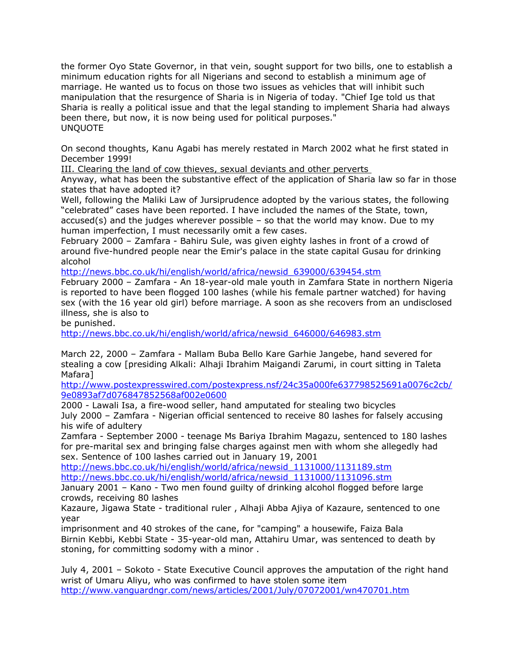the former Oyo State Governor, in that vein, sought support for two bills, one to establish a minimum education rights for all Nigerians and second to establish a minimum age of marriage. He wanted us to focus on those two issues as vehicles that will inhibit such manipulation that the resurgence of Sharia is in Nigeria of today. "Chief Ige told us that Sharia is really a political issue and that the legal standing to implement Sharia had always been there, but now, it is now being used for political purposes." UNQUOTE

On second thoughts, Kanu Agabi has merely restated in March 2002 what he first stated in December 1999!

III. Clearing the land of cow thieves, sexual deviants and other perverts

Anyway, what has been the substantive effect of the application of Sharia law so far in those states that have adopted it?

Well, following the Maliki Law of Jursiprudence adopted by the various states, the following "celebrated" cases have been reported. I have included the names of the State, town, accused(s) and the judges wherever possible  $-$  so that the world may know. Due to my human imperfection, I must necessarily omit a few cases.

February 2000 – Zamfara - Bahiru Sule, was given eighty lashes in front of a crowd of around five-hundred people near the Emir's palace in the state capital Gusau for drinking alcohol

[http://news.bbc.co.uk/hi/english/world/africa/newsid\\_639000/639454.stm](http://news.bbc.co.uk/hi/english/world/africa/newsid_639000/639454.stm)

February 2000 – Zamfara - An 18-year-old male youth in Zamfara State in northern Nigeria is reported to have been flogged 100 lashes (while his female partner watched) for having sex (with the 16 year old girl) before marriage. A soon as she recovers from an undisclosed illness, she is also to

be punished.

[http://news.bbc.co.uk/hi/english/world/africa/newsid\\_646000/646983.stm](http://news.bbc.co.uk/hi/english/world/africa/newsid_646000/646983.stm)

March 22, 2000 – Zamfara - Mallam Buba Bello Kare Garhie Jangebe, hand severed for stealing a cow [presiding Alkali: Alhaji Ibrahim Maigandi Zarumi, in court sitting in Taleta Mafara]

[http://www.postexpresswired.com/postexpress.nsf/24c35a000fe637798525691a0076c2cb/](http://www.postexpresswired.com/postexpress.nsf/24c35a000fe637798525691a0076c2cb/9e0893af7d076847852568af002e0600) [9e0893af7d076847852568af002e0600](http://www.postexpresswired.com/postexpress.nsf/24c35a000fe637798525691a0076c2cb/9e0893af7d076847852568af002e0600)

2000 - Lawali Isa, a fire-wood seller, hand amputated for stealing two bicycles July 2000 – Zamfara - Nigerian official sentenced to receive 80 lashes for falsely accusing his wife of adultery

Zamfara - September 2000 - teenage Ms Bariya Ibrahim Magazu, sentenced to 180 lashes for pre-marital sex and bringing false charges against men with whom she allegedly had sex. Sentence of 100 lashes carried out in January 19, 2001

[http://news.bbc.co.uk/hi/english/world/africa/newsid\\_1131000/1131189.stm](http://news.bbc.co.uk/hi/english/world/africa/newsid_1131000/1131189.stm) [http://news.bbc.co.uk/hi/english/world/africa/newsid\\_1131000/1131096.stm](http://news.bbc.co.uk/hi/english/world/africa/newsid_1131000/1131096.stm)

January 2001 – Kano - Two men found guilty of drinking alcohol flogged before large crowds, receiving 80 lashes

Kazaure, Jigawa State - traditional ruler , Alhaji Abba Ajiya of Kazaure, sentenced to one year

imprisonment and 40 strokes of the cane, for "camping" a housewife, Faiza Bala Birnin Kebbi, Kebbi State - 35-year-old man, Attahiru Umar, was sentenced to death by stoning, for committing sodomy with a minor .

July 4, 2001 – Sokoto - State Executive Council approves the amputation of the right hand wrist of Umaru Aliyu, who was confirmed to have stolen some item <http://www.vanguardngr.com/news/articles/2001/July/07072001/wn470701.htm>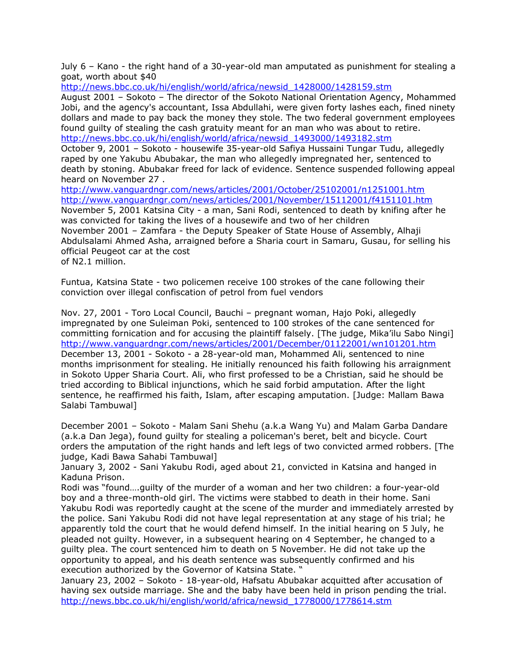July 6 – Kano - the right hand of a 30-year-old man amputated as punishment for stealing a goat, worth about \$40

[http://news.bbc.co.uk/hi/english/world/africa/newsid\\_1428000/1428159.stm](http://news.bbc.co.uk/hi/english/world/africa/newsid_1428000/1428159.stm)

August 2001 – Sokoto – The director of the Sokoto National Orientation Agency, Mohammed Jobi, and the agency's accountant, Issa Abdullahi, were given forty lashes each, fined ninety dollars and made to pay back the money they stole. The two federal government employees found guilty of stealing the cash gratuity meant for an man who was about to retire. [http://news.bbc.co.uk/hi/english/world/africa/newsid\\_1493000/1493182.stm](http://news.bbc.co.uk/hi/english/world/africa/newsid_1493000/1493182.stm)

October 9, 2001 – Sokoto - housewife 35-year-old Safiya Hussaini Tungar Tudu, allegedly raped by one Yakubu Abubakar, the man who allegedly impregnated her, sentenced to death by stoning. Abubakar freed for lack of evidence. Sentence suspended following appeal heard on November 27 .

<http://www.vanguardngr.com/news/articles/2001/October/25102001/n1251001.htm> <http://www.vanguardngr.com/news/articles/2001/November/15112001/f4151101.htm>

November 5, 2001 Katsina City - a man, Sani Rodi, sentenced to death by knifing after he was convicted for taking the lives of a housewife and two of her children November 2001 – Zamfara - the Deputy Speaker of State House of Assembly, Alhaji Abdulsalami Ahmed Asha, arraigned before a Sharia court in Samaru, Gusau, for selling his official Peugeot car at the cost of N2.1 million.

Funtua, Katsina State - two policemen receive 100 strokes of the cane following their conviction over illegal confiscation of petrol from fuel vendors

Nov. 27, 2001 - Toro Local Council, Bauchi – pregnant woman, Hajo Poki, allegedly impregnated by one Suleiman Poki, sentenced to 100 strokes of the cane sentenced for committing fornication and for accusing the plaintiff falsely. [The judge, Mika'ilu Sabo Ningi] <http://www.vanguardngr.com/news/articles/2001/December/01122001/wn101201.htm> December 13, 2001 - Sokoto - a 28-year-old man, Mohammed Ali, sentenced to nine months imprisonment for stealing. He initially renounced his faith following his arraignment in Sokoto Upper Sharia Court. Ali, who first professed to be a Christian, said he should be tried according to Biblical injunctions, which he said forbid amputation. After the light sentence, he reaffirmed his faith, Islam, after escaping amputation. [Judge: Mallam Bawa Salabi Tambuwal]

December 2001 – Sokoto - Malam Sani Shehu (a.k.a Wang Yu) and Malam Garba Dandare (a.k.a Dan Jega), found guilty for stealing a policeman's beret, belt and bicycle. Court orders the amputation of the right hands and left legs of two convicted armed robbers. [The judge, Kadi Bawa Sahabi Tambuwal]

January 3, 2002 - Sani Yakubu Rodi, aged about 21, convicted in Katsina and hanged in Kaduna Prison.

Rodi was "found….guilty of the murder of a woman and her two children: a four-year-old boy and a three-month-old girl. The victims were stabbed to death in their home. Sani Yakubu Rodi was reportedly caught at the scene of the murder and immediately arrested by the police. Sani Yakubu Rodi did not have legal representation at any stage of his trial; he apparently told the court that he would defend himself. In the initial hearing on 5 July, he pleaded not guilty. However, in a subsequent hearing on 4 September, he changed to a guilty plea. The court sentenced him to death on 5 November. He did not take up the opportunity to appeal, and his death sentence was subsequently confirmed and his execution authorized by the Governor of Katsina State. "

January 23, 2002 – Sokoto - 18-year-old, Hafsatu Abubakar acquitted after accusation of having sex outside marriage. She and the baby have been held in prison pending the trial. [http://news.bbc.co.uk/hi/english/world/africa/newsid\\_1778000/1778614.stm](http://news.bbc.co.uk/hi/english/world/africa/newsid_1778000/1778614.stm)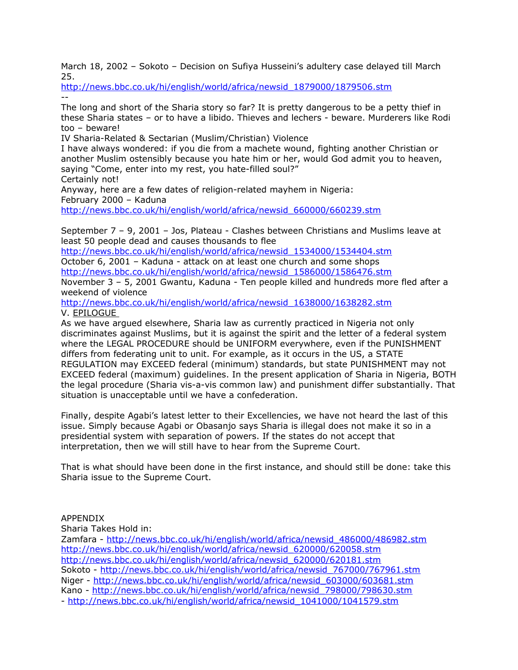March 18, 2002 – Sokoto – Decision on Sufiya Husseini's adultery case delayed till March 25.

[http://news.bbc.co.uk/hi/english/world/africa/newsid\\_1879000/1879506.stm](http://news.bbc.co.uk/hi/english/world/africa/newsid_1879000/1879506.stm) --

The long and short of the Sharia story so far? It is pretty dangerous to be a petty thief in these Sharia states – or to have a libido. Thieves and lechers - beware. Murderers like Rodi too – beware!

IV Sharia-Related & Sectarian (Muslim/Christian) Violence

I have always wondered: if you die from a machete wound, fighting another Christian or another Muslim ostensibly because you hate him or her, would God admit you to heaven, saying "Come, enter into my rest, you hate-filled soul?"

Certainly not!

Anyway, here are a few dates of religion-related mayhem in Nigeria: February 2000 – Kaduna [http://news.bbc.co.uk/hi/english/world/africa/newsid\\_660000/660239.stm](http://news.bbc.co.uk/hi/english/world/africa/newsid_660000/660239.stm)

September 7 – 9, 2001 – Jos, Plateau - Clashes between Christians and Muslims leave at least 50 people dead and causes thousands to flee

[http://news.bbc.co.uk/hi/english/world/africa/newsid\\_1534000/1534404.stm](http://news.bbc.co.uk/hi/english/world/africa/newsid_1534000/1534404.stm) October 6, 2001 – Kaduna - attack on at least one church and some shops [http://news.bbc.co.uk/hi/english/world/africa/newsid\\_1586000/1586476.stm](http://news.bbc.co.uk/hi/english/world/africa/newsid_1586000/1586476.stm)

November 3 – 5, 2001 Gwantu, Kaduna - Ten people killed and hundreds more fled after a weekend of violence

[http://news.bbc.co.uk/hi/english/world/africa/newsid\\_1638000/1638282.stm](http://news.bbc.co.uk/hi/english/world/africa/newsid_1638000/1638282.stm) V. EPILOGUE

As we have argued elsewhere, Sharia law as currently practiced in Nigeria not only discriminates against Muslims, but it is against the spirit and the letter of a federal system where the LEGAL PROCEDURE should be UNIFORM everywhere, even if the PUNISHMENT differs from federating unit to unit. For example, as it occurs in the US, a STATE REGULATION may EXCEED federal (minimum) standards, but state PUNISHMENT may not EXCEED federal (maximum) guidelines. In the present application of Sharia in Nigeria, BOTH the legal procedure (Sharia vis-a-vis common law) and punishment differ substantially. That situation is unacceptable until we have a confederation.

Finally, despite Agabi's latest letter to their Excellencies, we have not heard the last of this issue. Simply because Agabi or Obasanjo says Sharia is illegal does not make it so in a presidential system with separation of powers. If the states do not accept that interpretation, then we will still have to hear from the Supreme Court.

That is what should have been done in the first instance, and should still be done: take this Sharia issue to the Supreme Court.

# APPENDIX

Sharia Takes Hold in: Zamfara - [http://news.bbc.co.uk/hi/english/world/africa/newsid\\_486000/486982.stm](http://news.bbc.co.uk/hi/english/world/africa/newsid_486000/486982.stm) [http://news.bbc.co.uk/hi/english/world/africa/newsid\\_620000/620058.stm](http://news.bbc.co.uk/hi/english/world/africa/newsid_620000/620058.stm) [http://news.bbc.co.uk/hi/english/world/africa/newsid\\_620000/620181.stm](http://news.bbc.co.uk/hi/english/world/africa/newsid_620000/620181.stm) Sokoto - [http://news.bbc.co.uk/hi/english/world/africa/newsid\\_767000/767961.stm](http://news.bbc.co.uk/hi/english/world/africa/newsid_767000/767961.stm) Niger - [http://news.bbc.co.uk/hi/english/world/africa/newsid\\_603000/603681.stm](http://news.bbc.co.uk/hi/english/world/africa/newsid_603000/603681.stm) Kano - [http://news.bbc.co.uk/hi/english/world/africa/newsid\\_798000/798630.stm](http://news.bbc.co.uk/hi/english/world/africa/newsid_798000/798630.stm) - [http://news.bbc.co.uk/hi/english/world/africa/newsid\\_1041000/1041579.stm](http://news.bbc.co.uk/hi/english/world/africa/newsid_1041000/1041579.stm)